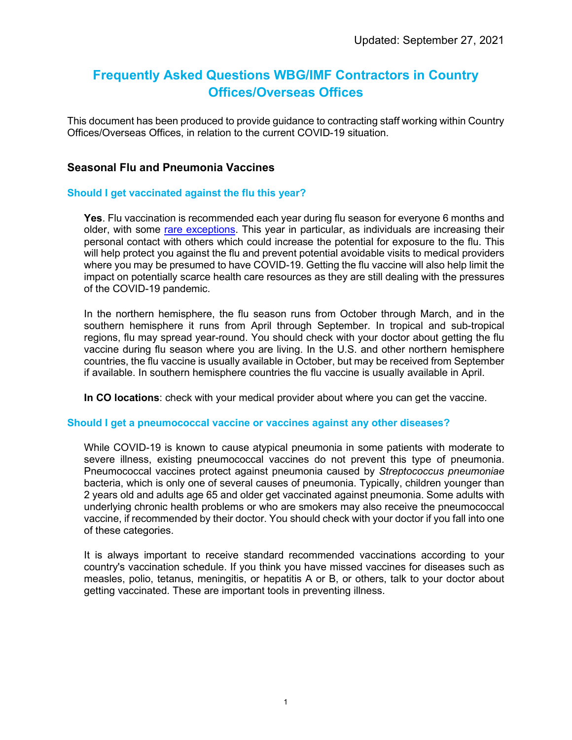# **Frequently Asked Questions WBG/IMF Contractors in Country Offices/Overseas Offices**

This document has been produced to provide guidance to contracting staff working within Country Offices/Overseas Offices, in relation to the current COVID-19 situation.

## **Seasonal Flu and Pneumonia Vaccines**

### **Should I get vaccinated against the flu this year?**

**Yes**. Flu vaccination is recommended each year during flu season for everyone 6 months and older, with some [rare exceptions.](https://www.cdc.gov/flu/prevent/whoshouldvax.htm) This year in particular, as individuals are increasing their personal contact with others which could increase the potential for exposure to the flu. This will help protect you against the flu and prevent potential avoidable visits to medical providers where you may be presumed to have COVID-19. Getting the flu vaccine will also help limit the impact on potentially scarce health care resources as they are still dealing with the pressures of the COVID-19 pandemic.

In the northern hemisphere, the flu season runs from October through March, and in the southern hemisphere it runs from April through September. In tropical and sub-tropical regions, flu may spread year-round. You should check with your doctor about getting the flu vaccine during flu season where you are living. In the U.S. and other northern hemisphere countries, the flu vaccine is usually available in October, but may be received from September if available. In southern hemisphere countries the flu vaccine is usually available in April.

**In CO locations**: check with your medical provider about where you can get the vaccine.

#### **Should I get a pneumococcal vaccine or vaccines against any other diseases?**

While COVID-19 is known to cause atypical pneumonia in some patients with moderate to severe illness, existing pneumococcal vaccines do not prevent this type of pneumonia. Pneumococcal vaccines protect against pneumonia caused by *Streptococcus pneumoniae* bacteria, which is only one of several causes of pneumonia. Typically, children younger than 2 years old and adults age 65 and older get vaccinated against pneumonia. Some adults with underlying chronic health problems or who are smokers may also receive the pneumococcal vaccine, if recommended by their doctor. You should check with your doctor if you fall into one of these categories.

It is always important to receive standard recommended vaccinations according to your country's vaccination schedule. If you think you have missed vaccines for diseases such as measles, polio, tetanus, meningitis, or hepatitis A or B, or others, talk to your doctor about getting vaccinated. These are important tools in preventing illness.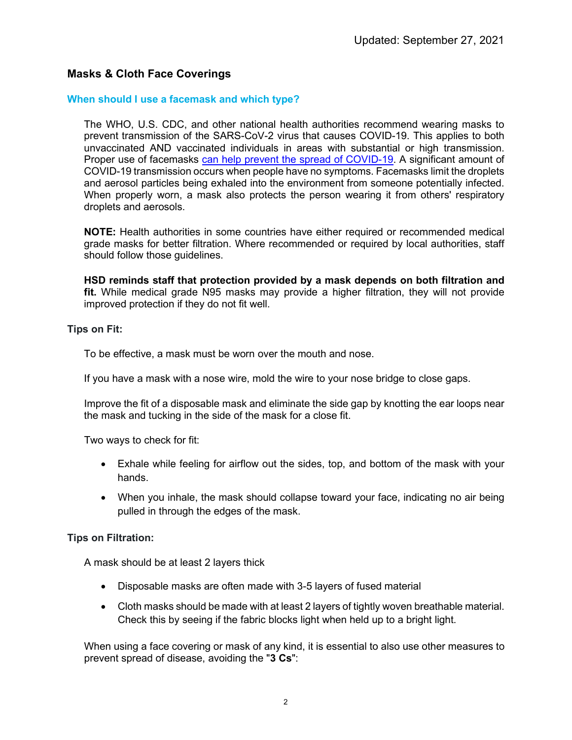# **Masks & Cloth Face Coverings**

#### **When should I use a facemask and which type?**

The WHO, U.S. CDC, and other national health authorities recommend wearing masks to prevent transmission of the SARS-CoV-2 virus that causes COVID-19. This applies to both unvaccinated AND vaccinated individuals in areas with substantial or high transmission. Proper use of facemasks [can help prevent the spread of COVID-19.](https://www.cdc.gov/coronavirus/2019-ncov/more/masking-science-sars-cov2.html) A significant amount of COVID-19 transmission occurs when people have no symptoms. Facemasks limit the droplets and aerosol particles being exhaled into the environment from someone potentially infected. When properly worn, a mask also protects the person wearing it from others' respiratory droplets and aerosols.

**NOTE:** Health authorities in some countries have either required or recommended medical grade masks for better filtration. Where recommended or required by local authorities, staff should follow those guidelines.

**HSD reminds staff that protection provided by a mask depends on both filtration and fit.** While medical grade N95 masks may provide a higher filtration, they will not provide improved protection if they do not fit well.

**Tips on Fit:**

To be effective, a mask must be worn over the mouth and nose.

If you have a mask with a nose wire, mold the wire to your nose bridge to close gaps.

Improve the fit of a disposable mask and eliminate the side gap by knotting the ear loops near the mask and tucking in the side of the mask for a close fit.

Two ways to check for fit:

- Exhale while feeling for airflow out the sides, top, and bottom of the mask with your hands.
- When you inhale, the mask should collapse toward your face, indicating no air being pulled in through the edges of the mask.

### **Tips on Filtration:**

A mask should be at least 2 layers thick

- Disposable masks are often made with 3-5 layers of fused material
- Cloth masks should be made with at least 2 layers of tightly woven breathable material. Check this by seeing if the fabric blocks light when held up to a bright light.

When using a face covering or mask of any kind, it is essential to also use other measures to prevent spread of disease, avoiding the "**3 Cs**":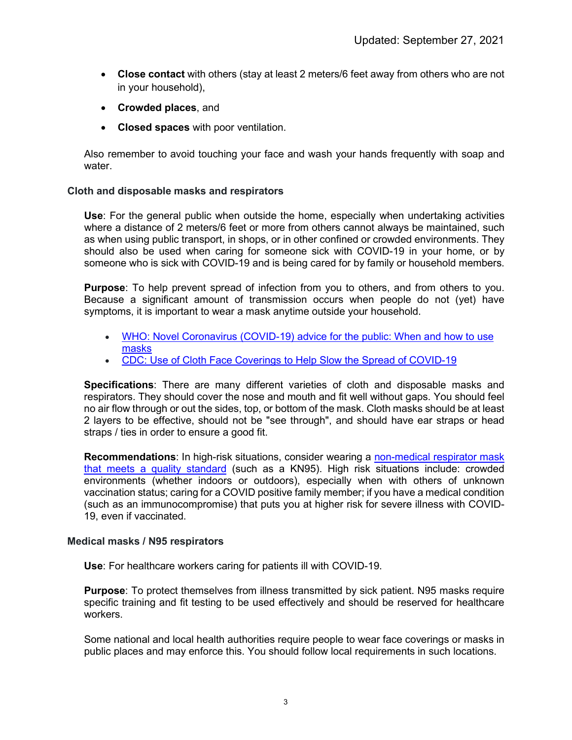- **Close contact** with others (stay at least 2 meters/6 feet away from others who are not in your household),
- **Crowded places**, and
- **Closed spaces** with poor ventilation.

Also remember to avoid touching your face and wash your hands frequently with soap and water.

### **Cloth and disposable masks and respirators**

**Use**: For the general public when outside the home, especially when undertaking activities where a distance of 2 meters/6 feet or more from others cannot always be maintained, such as when using public transport, in shops, or in other confined or crowded environments. They should also be used when caring for someone sick with COVID-19 in your home, or by someone who is sick with COVID-19 and is being cared for by family or household members.

**Purpose**: To help prevent spread of infection from you to others, and from others to you. Because a significant amount of transmission occurs when people do not (yet) have symptoms, it is important to wear a mask anytime outside your household.

- [WHO: Novel Coronavirus \(COVID-19\) advice for the public: When and how to use](https://www.who.int/emergencies/diseases/novel-coronavirus-2019/advice-for-public/when-and-how-to-use-masks)  [masks](https://www.who.int/emergencies/diseases/novel-coronavirus-2019/advice-for-public/when-and-how-to-use-masks)
- [CDC: Use of Cloth Face Coverings to Help Slow the Spread of COVID-19](https://www.cdc.gov/coronavirus/2019-ncov/prevent-getting-sick/diy-cloth-face-coverings.html)

**Specifications**: There are many different varieties of cloth and disposable masks and respirators. They should cover the nose and mouth and fit well without gaps. You should feel no air flow through or out the sides, top, or bottom of the mask. Cloth masks should be at least 2 layers to be effective, should not be "see through", and should have ear straps or head straps / ties in order to ensure a good fit.

**Recommendations**: In high-risk situations, consider wearing a [non-medical respirator mask](https://www.cdc.gov/coronavirus/2019-ncov/prevent-getting-sick/types-of-masks.html)  [that meets a quality standard](https://www.cdc.gov/coronavirus/2019-ncov/prevent-getting-sick/types-of-masks.html) (such as a KN95). High risk situations include: crowded environments (whether indoors or outdoors), especially when with others of unknown vaccination status; caring for a COVID positive family member; if you have a medical condition (such as an immunocompromise) that puts you at higher risk for severe illness with COVID-19, even if vaccinated.

#### **Medical masks / N95 respirators**

**Use**: For healthcare workers caring for patients ill with COVID-19.

**Purpose**: To protect themselves from illness transmitted by sick patient. N95 masks require specific training and fit testing to be used effectively and should be reserved for healthcare workers.

Some national and local health authorities require people to wear face coverings or masks in public places and may enforce this. You should follow local requirements in such locations.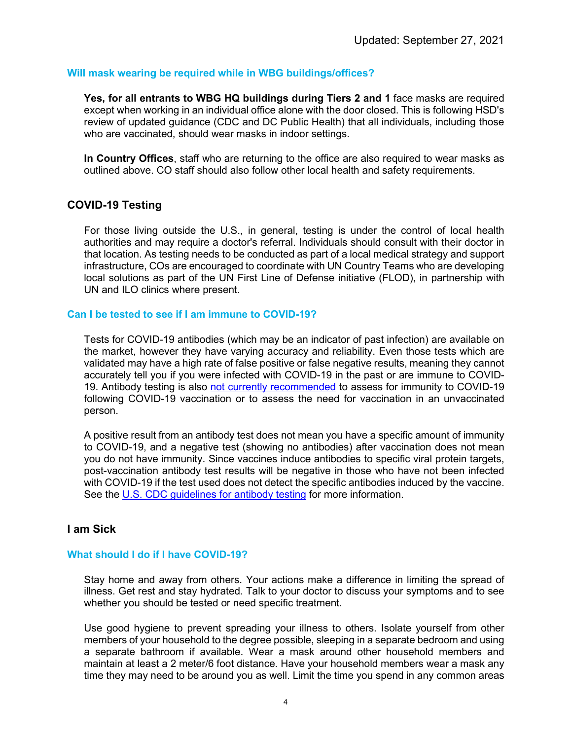### **Will mask wearing be required while in WBG buildings/offices?**

**Yes, for all entrants to WBG HQ buildings during Tiers 2 and 1** face masks are required except when working in an individual office alone with the door closed. This is following HSD's review of updated guidance (CDC and DC Public Health) that all individuals, including those who are vaccinated, should wear masks in indoor settings.

**In Country Offices**, staff who are returning to the office are also required to wear masks as outlined above. CO staff should also follow other local health and safety requirements.

# **COVID-19 Testing**

For those living outside the U.S., in general, testing is under the control of local health authorities and may require a doctor's referral. Individuals should consult with their doctor in that location. As testing needs to be conducted as part of a local medical strategy and support infrastructure, COs are encouraged to coordinate with UN Country Teams who are developing local solutions as part of the UN First Line of Defense initiative (FLOD), in partnership with UN and ILO clinics where present.

#### **Can I be tested to see if I am immune to COVID-19?**

Tests for COVID-19 antibodies (which may be an indicator of past infection) are available on the market, however they have varying accuracy and reliability. Even those tests which are validated may have a high rate of false positive or false negative results, meaning they cannot accurately tell you if you were infected with COVID-19 in the past or are immune to COVID-19. Antibody testing is also [not currently recommended](https://www.fda.gov/medical-devices/safety-communications/antibody-testing-not-currently-recommended-assess-immunity-after-covid-19-vaccination-fda-safety) to assess for immunity to COVID-19 following COVID-19 vaccination or to assess the need for vaccination in an unvaccinated person.

A positive result from an antibody test does not mean you have a specific amount of immunity to COVID-19, and a negative test (showing no antibodies) after vaccination does not mean you do not have immunity. Since vaccines induce antibodies to specific viral protein targets, post-vaccination antibody test results will be negative in those who have not been infected with COVID-19 if the test used does not detect the specific antibodies induced by the vaccine. See the [U.S. CDC guidelines for antibody testing](https://www.cdc.gov/coronavirus/2019-ncov/lab/resources/antibody-tests-guidelines.html) for more information.

### **I am Sick**

## **What should I do if I have COVID-19?**

Stay home and away from others. Your actions make a difference in limiting the spread of illness. Get rest and stay hydrated. Talk to your doctor to discuss your symptoms and to see whether you should be tested or need specific treatment.

Use good hygiene to prevent spreading your illness to others. Isolate yourself from other members of your household to the degree possible, sleeping in a separate bedroom and using a separate bathroom if available. Wear a mask around other household members and maintain at least a 2 meter/6 foot distance. Have your household members wear a mask any time they may need to be around you as well. Limit the time you spend in any common areas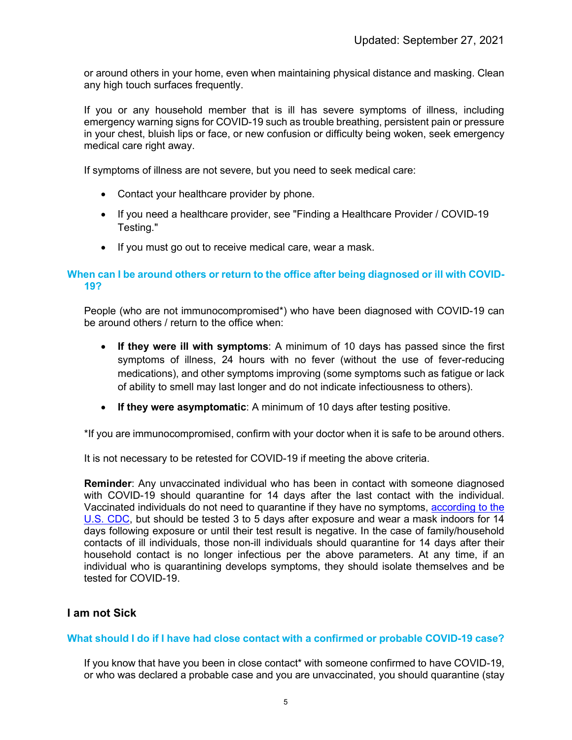or around others in your home, even when maintaining physical distance and masking. Clean any high touch surfaces frequently.

If you or any household member that is ill has severe symptoms of illness, including emergency warning signs for COVID-19 such as trouble breathing, persistent pain or pressure in your chest, bluish lips or face, or new confusion or difficulty being woken, seek emergency medical care right away.

If symptoms of illness are not severe, but you need to seek medical care:

- Contact your healthcare provider by phone.
- If you need a healthcare provider, see "Finding a Healthcare Provider / COVID-19 Testing."
- If you must go out to receive medical care, wear a mask.

## **When can I be around others or return to the office after being diagnosed or ill with COVID-19?**

People (who are not immunocompromised\*) who have been diagnosed with COVID-19 can be around others / return to the office when:

- **If they were ill with symptoms**: A minimum of 10 days has passed since the first symptoms of illness, 24 hours with no fever (without the use of fever-reducing medications), and other symptoms improving (some symptoms such as fatigue or lack of ability to smell may last longer and do not indicate infectiousness to others).
- **If they were asymptomatic**: A minimum of 10 days after testing positive.

\*If you are immunocompromised, confirm with your doctor when it is safe to be around others.

It is not necessary to be retested for COVID-19 if meeting the above criteria.

**Reminder**: Any unvaccinated individual who has been in contact with someone diagnosed with COVID-19 should quarantine for 14 days after the last contact with the individual. Vaccinated individuals do not need to quarantine if they have no symptoms, [according to the](https://www.cdc.gov/coronavirus/2019-ncov/your-health/quarantine-isolation.html)  [U.S. CDC,](https://www.cdc.gov/coronavirus/2019-ncov/your-health/quarantine-isolation.html) but should be tested 3 to 5 days after exposure and wear a mask indoors for 14 days following exposure or until their test result is negative. In the case of family/household contacts of ill individuals, those non-ill individuals should quarantine for 14 days after their household contact is no longer infectious per the above parameters. At any time, if an individual who is quarantining develops symptoms, they should isolate themselves and be tested for COVID-19.

# **I am not Sick**

### **What should I do if I have had close contact with a confirmed or probable COVID-19 case?**

If you know that have you been in close contact\* with someone confirmed to have COVID-19, or who was declared a probable case and you are unvaccinated, you should quarantine (stay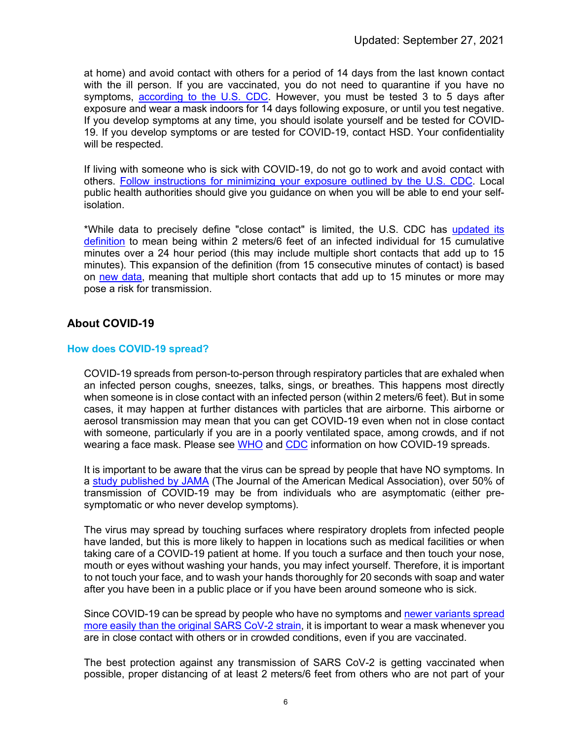at home) and avoid contact with others for a period of 14 days from the last known contact with the ill person. If you are vaccinated, you do not need to quarantine if you have no symptoms, [according to the U.S. CDC.](https://www.cdc.gov/coronavirus/2019-ncov/your-health/quarantine-isolation.html) However, you must be tested 3 to 5 days after exposure and wear a mask indoors for 14 days following exposure, or until you test negative. If you develop symptoms at any time, you should isolate yourself and be tested for COVID-19. If you develop symptoms or are tested for COVID-19, contact HSD. Your confidentiality will be respected.

If living with someone who is sick with COVID-19, do not go to work and avoid contact with others. [Follow instructions for minimizing your exposure outlined by the U.S. CDC.](https://www.cdc.gov/coronavirus/2019-ncov/if-you-are-sick/care-for-someone.html) Local public health authorities should give you guidance on when you will be able to end your selfisolation.

\*While data to precisely define "close contact" is limited, the U.S. CDC has [updated its](https://www.cdc.gov/coronavirus/2019-ncov/php/contact-tracing/contact-tracing-plan/appendix.html#contact)  [definition](https://www.cdc.gov/coronavirus/2019-ncov/php/contact-tracing/contact-tracing-plan/appendix.html#contact) to mean being within 2 meters/6 feet of an infected individual for 15 cumulative minutes over a 24 hour period (this may include multiple short contacts that add up to 15 minutes). This expansion of the definition (from 15 consecutive minutes of contact) is based on [new data,](https://www.cdc.gov/mmwr/volumes/69/wr/mm6943e1.htm) meaning that multiple short contacts that add up to 15 minutes or more may pose a risk for transmission.

# **About COVID-19**

### **How does COVID-19 spread?**

COVID-19 spreads from person-to-person through respiratory particles that are exhaled when an infected person coughs, sneezes, talks, sings, or breathes. This happens most directly when someone is in close contact with an infected person (within 2 meters/6 feet). But in some cases, it may happen at further distances with particles that are airborne. This airborne or aerosol transmission may mean that you can get COVID-19 even when not in close contact with someone, particularly if you are in a poorly ventilated space, among crowds, and if not wearing a face mask. Please see [WHO](https://www.who.int/emergencies/diseases/novel-coronavirus-2019/question-and-answers-hub/q-a-detail/coronavirus-disease-covid-19-how-is-it-transmitted) and [CDC](https://www.cdc.gov/coronavirus/2019-ncov/prevent-getting-sick/how-covid-spreads.html) information on how COVID-19 spreads.

It is important to be aware that the virus can be spread by people that have NO symptoms. In a [study published by JAMA](https://jamanetwork.com/journals/jamanetworkopen/fullarticle/2774707) (The Journal of the American Medical Association), over 50% of transmission of COVID-19 may be from individuals who are asymptomatic (either presymptomatic or who never develop symptoms).

The virus may spread by touching surfaces where respiratory droplets from infected people have landed, but this is more likely to happen in locations such as medical facilities or when taking care of a COVID-19 patient at home. If you touch a surface and then touch your nose, mouth or eyes without washing your hands, you may infect yourself. Therefore, it is important to not touch your face, and to wash your hands thoroughly for 20 seconds with soap and water after you have been in a public place or if you have been around someone who is sick.

Since COVID-19 can be spread by people who have no symptoms an[d newer variants spread](https://www.cdc.gov/coronavirus/2019-ncov/variants/delta-variant.html)  [more easily than the original SARS CoV-2 strain,](https://www.cdc.gov/coronavirus/2019-ncov/variants/delta-variant.html) it is important to wear a mask whenever you are in close contact with others or in crowded conditions, even if you are vaccinated.

The best protection against any transmission of SARS CoV-2 is getting vaccinated when possible, proper distancing of at least 2 meters/6 feet from others who are not part of your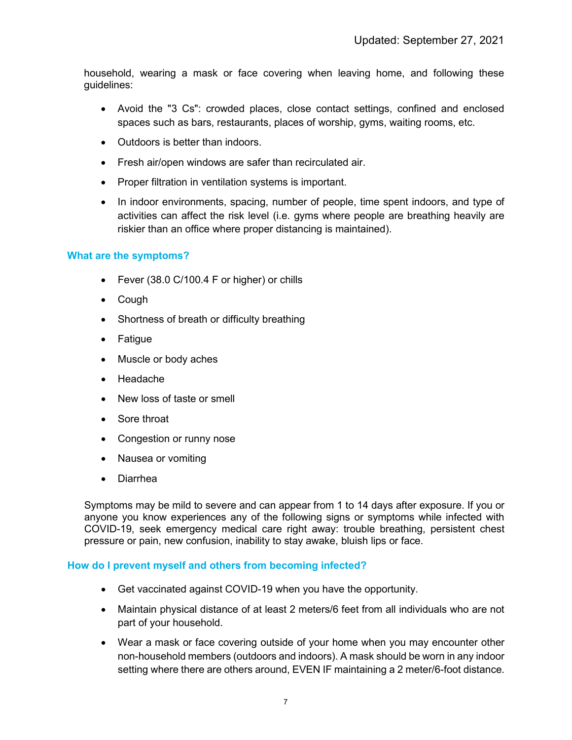household, wearing a mask or face covering when leaving home, and following these guidelines:

- Avoid the "3 Cs": crowded places, close contact settings, confined and enclosed spaces such as bars, restaurants, places of worship, gyms, waiting rooms, etc.
- Outdoors is better than indoors.
- Fresh air/open windows are safer than recirculated air.
- Proper filtration in ventilation systems is important.
- In indoor environments, spacing, number of people, time spent indoors, and type of activities can affect the risk level (i.e. gyms where people are breathing heavily are riskier than an office where proper distancing is maintained).

### **What are the symptoms?**

- Fever (38.0 C/100.4 F or higher) or chills
- Cough
- Shortness of breath or difficulty breathing
- Fatigue
- Muscle or body aches
- Headache
- New loss of taste or smell
- Sore throat
- Congestion or runny nose
- Nausea or vomiting
- Diarrhea

Symptoms may be mild to severe and can appear from 1 to 14 days after exposure. If you or anyone you know experiences any of the following signs or symptoms while infected with COVID-19, seek emergency medical care right away: trouble breathing, persistent chest pressure or pain, new confusion, inability to stay awake, bluish lips or face.

### **How do I prevent myself and others from becoming infected?**

- Get vaccinated against COVID-19 when you have the opportunity.
- Maintain physical distance of at least 2 meters/6 feet from all individuals who are not part of your household.
- Wear a mask or face covering outside of your home when you may encounter other non-household members (outdoors and indoors). A mask should be worn in any indoor setting where there are others around, EVEN IF maintaining a 2 meter/6-foot distance.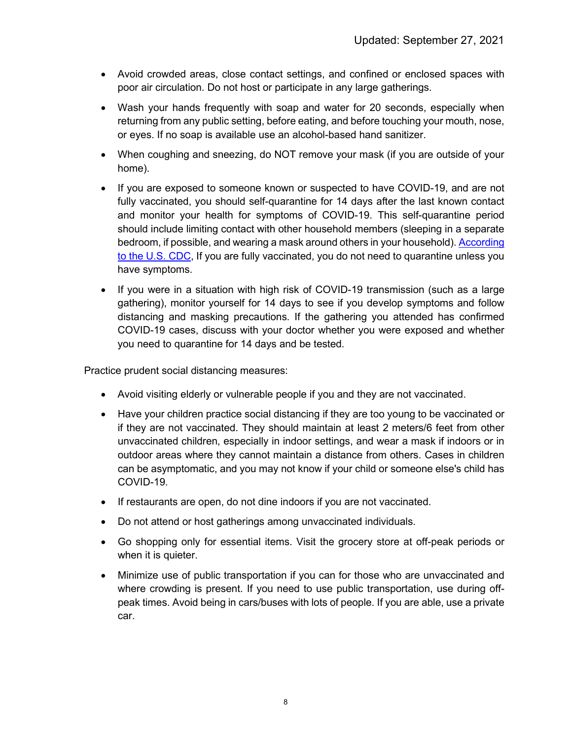- Avoid crowded areas, close contact settings, and confined or enclosed spaces with poor air circulation. Do not host or participate in any large gatherings.
- Wash your hands frequently with soap and water for 20 seconds, especially when returning from any public setting, before eating, and before touching your mouth, nose, or eyes. If no soap is available use an alcohol-based hand sanitizer.
- When coughing and sneezing, do NOT remove your mask (if you are outside of your home).
- If you are exposed to someone known or suspected to have COVID-19, and are not fully vaccinated, you should self-quarantine for 14 days after the last known contact and monitor your health for symptoms of COVID-19. This self-quarantine period should include limiting contact with other household members (sleeping in a separate bedroom, if possible, and wearing a mask around others in your household). [According](https://www.cdc.gov/coronavirus/2019-ncov/if-you-are-sick/quarantine.html)  [to the U.S. CDC,](https://www.cdc.gov/coronavirus/2019-ncov/if-you-are-sick/quarantine.html) If you are fully vaccinated, you do not need to quarantine unless you have symptoms.
- If you were in a situation with high risk of COVID-19 transmission (such as a large gathering), monitor yourself for 14 days to see if you develop symptoms and follow distancing and masking precautions. If the gathering you attended has confirmed COVID-19 cases, discuss with your doctor whether you were exposed and whether you need to quarantine for 14 days and be tested.

Practice prudent social distancing measures:

- Avoid visiting elderly or vulnerable people if you and they are not vaccinated.
- Have your children practice social distancing if they are too young to be vaccinated or if they are not vaccinated. They should maintain at least 2 meters/6 feet from other unvaccinated children, especially in indoor settings, and wear a mask if indoors or in outdoor areas where they cannot maintain a distance from others. Cases in children can be asymptomatic, and you may not know if your child or someone else's child has COVID-19.
- If restaurants are open, do not dine indoors if you are not vaccinated.
- Do not attend or host gatherings among unvaccinated individuals.
- Go shopping only for essential items. Visit the grocery store at off-peak periods or when it is quieter.
- Minimize use of public transportation if you can for those who are unvaccinated and where crowding is present. If you need to use public transportation, use during offpeak times. Avoid being in cars/buses with lots of people. If you are able, use a private car.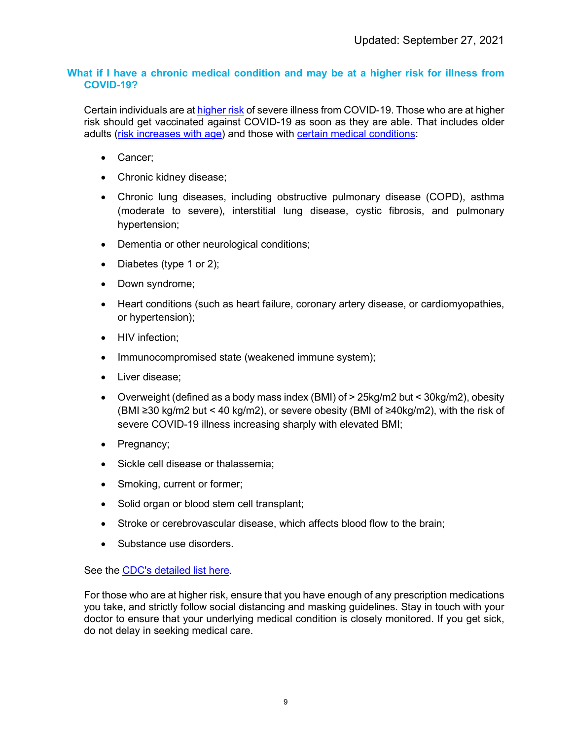## **What if I have a chronic medical condition and may be at a higher risk for illness from COVID-19?**

Certain individuals are a[t higher risk](https://www.cdc.gov/coronavirus/2019-ncov/need-extra-precautions/index.html) of severe illness from COVID-19. Those who are at higher risk should get vaccinated against COVID-19 as soon as they are able. That includes older adults [\(risk increases with age\)](https://www.cdc.gov/coronavirus/2019-ncov/need-extra-precautions/older-adults.html) and those with [certain medical conditions:](https://www.cdc.gov/coronavirus/2019-ncov/need-extra-precautions/people-with-medical-conditions.html)

- Cancer;
- Chronic kidney disease;
- Chronic lung diseases, including obstructive pulmonary disease (COPD), asthma (moderate to severe), interstitial lung disease, cystic fibrosis, and pulmonary hypertension;
- Dementia or other neurological conditions;
- Diabetes (type 1 or 2);
- Down syndrome:
- Heart conditions (such as heart failure, coronary artery disease, or cardiomyopathies, or hypertension);
- HIV infection;
- Immunocompromised state (weakened immune system);
- Liver disease;
- Overweight (defined as a body mass index (BMI) of > 25kg/m2 but < 30kg/m2), obesity (BMI ≥30 kg/m2 but < 40 kg/m2), or severe obesity (BMI of ≥40kg/m2), with the risk of severe COVID-19 illness increasing sharply with elevated BMI;
- Pregnancy;
- Sickle cell disease or thalassemia;
- Smoking, current or former;
- Solid organ or blood stem cell transplant;
- Stroke or cerebrovascular disease, which affects blood flow to the brain;
- Substance use disorders.

See the [CDC's detailed list here.](https://www.cdc.gov/coronavirus/2019-ncov/need-extra-precautions/people-with-medical-conditions.html)

For those who are at higher risk, ensure that you have enough of any prescription medications you take, and strictly follow social distancing and masking guidelines. Stay in touch with your doctor to ensure that your underlying medical condition is closely monitored. If you get sick, do not delay in seeking medical care.